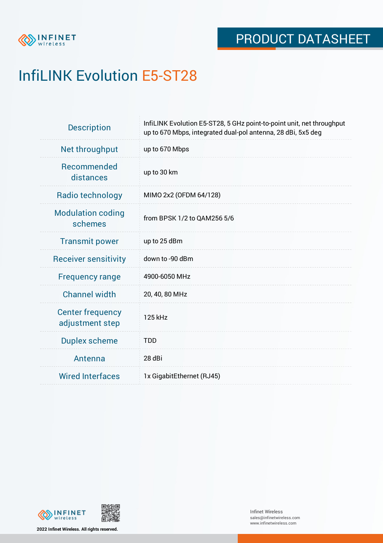

## InfiLINK Evolution E5-ST28

| <b>Description</b>                         | InfiLINK Evolution E5-ST28, 5 GHz point-to-point unit, net throughput<br>up to 670 Mbps, integrated dual-pol antenna, 28 dBi, 5x5 deg |
|--------------------------------------------|---------------------------------------------------------------------------------------------------------------------------------------|
| Net throughput                             | up to 670 Mbps                                                                                                                        |
| Recommended<br>distances                   | up to 30 km                                                                                                                           |
| Radio technology                           | MIMO 2x2 (OFDM 64/128)                                                                                                                |
| <b>Modulation coding</b><br>schemes        | from BPSK 1/2 to QAM256 5/6                                                                                                           |
| <b>Transmit power</b>                      | up to 25 dBm                                                                                                                          |
| <b>Receiver sensitivity</b>                | down to -90 dBm                                                                                                                       |
| <b>Frequency range</b>                     | 4900-6050 MHz                                                                                                                         |
| <b>Channel width</b>                       | 20, 40, 80 MHz                                                                                                                        |
| <b>Center frequency</b><br>adjustment step | 125 kHz                                                                                                                               |
| <b>Duplex scheme</b>                       | <b>TDD</b>                                                                                                                            |
| Antenna                                    | 28 dBi                                                                                                                                |
| <b>Wired Interfaces</b>                    | 1x GigabitEthernet (RJ45)                                                                                                             |



**2022 Infinet Wireless. All rights reserved.**

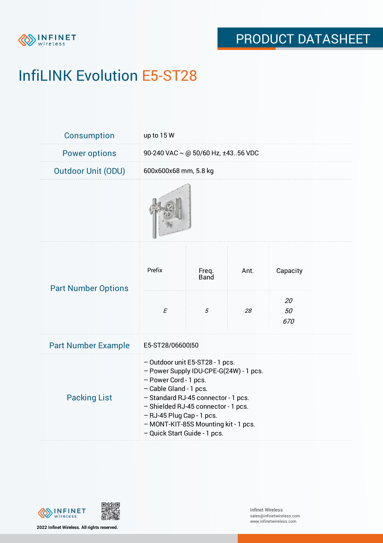

# InfiLINK Evolution E5-ST28

| Consumption                | up to 15 W                                                                                                                                                                                                                                                                                                      |                      |      |                 |  |  |
|----------------------------|-----------------------------------------------------------------------------------------------------------------------------------------------------------------------------------------------------------------------------------------------------------------------------------------------------------------|----------------------|------|-----------------|--|--|
| <b>Power options</b>       | 90-240 VAC ~ @ 50/60 Hz, ±4356 VDC                                                                                                                                                                                                                                                                              |                      |      |                 |  |  |
| <b>Outdoor Unit (ODU)</b>  | 600x600x68 mm, 5.8 kg                                                                                                                                                                                                                                                                                           |                      |      |                 |  |  |
|                            |                                                                                                                                                                                                                                                                                                                 |                      |      |                 |  |  |
| <b>Part Number Options</b> | Prefix                                                                                                                                                                                                                                                                                                          | Freq.<br><b>Band</b> | Ant. | Capacity        |  |  |
|                            | $\cal E$                                                                                                                                                                                                                                                                                                        | 5                    | 28   | 20<br>50<br>670 |  |  |
| <b>Part Number Example</b> | E5-ST28/06600 50                                                                                                                                                                                                                                                                                                |                      |      |                 |  |  |
| <b>Packing List</b>        | - Outdoor unit E5-ST28 - 1 pcs.<br>- Power Supply IDU-CPE-G(24W) - 1 pcs.<br>- Power Cord - 1 pcs.<br>- Cable Gland - 1 pcs.<br>- Standard RJ-45 connector - 1 pcs.<br>- Shielded RJ-45 connector - 1 pcs.<br>- RJ-45 Plug Cap - 1 pcs.<br>- MONT-KIT-85S Mounting kit - 1 pcs.<br>- Quick Start Guide - 1 pcs. |                      |      |                 |  |  |



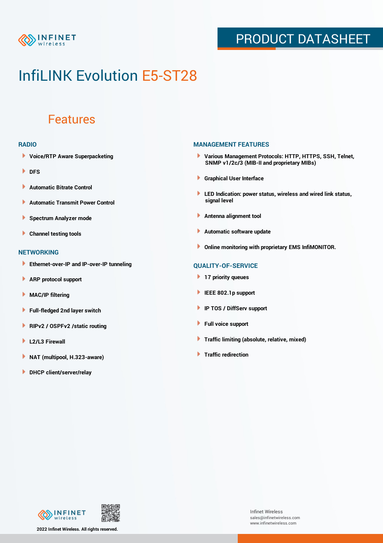

## PRODUCT DATASHEET

## InfiLINK Evolution E5-ST28

### Features

#### **RADIO**

- **Voice/RTP Aware Superpacketing**
- **DFS**
- **Automatic Bitrate Control** Þ
- Þ **Automatic Transmit Power Control**
- Þ **Spectrum Analyzer mode**
- ٠ **Channel testing tools**

#### **NETWORKING**

- **Ethernet-over-IP and IP-over-IP tunneling**
- **ARP protocol support**
- **MAC/IP filtering**
- **Full-fledged 2nd layer switch**
- **RIPv2 / OSPFv2 /static routing** Þ
- Þ **L2/L3 Firewall**
- Þ **NAT (multipool, H.323-aware)**
- **DHCP client/server/relay**

### **MANAGEMENT FEATURES**

- **Various Management Protocols: HTTP, HTTPS, SSH, Telnet, SNMP v1/2c/3 (MIB-II and proprietary MIBs)**
- **Graphical User Interface**
- **LED Indication: power status, wireless and wired link status, signal level**
- **Antenna alignment tool**
- ٠ **Automatic software update**
- **Online monitoring with proprietary EMS InfiMONITOR.**

### **QUALITY-OF-SERVICE**

- **17 priority queues**
- **IEEE 802.1p support**
- **IP TOS / DiffServ support**
- ٠ **Full voice support**
- **Traffic limiting (absolute, relative, mixed)**
- **Traffic redirection**

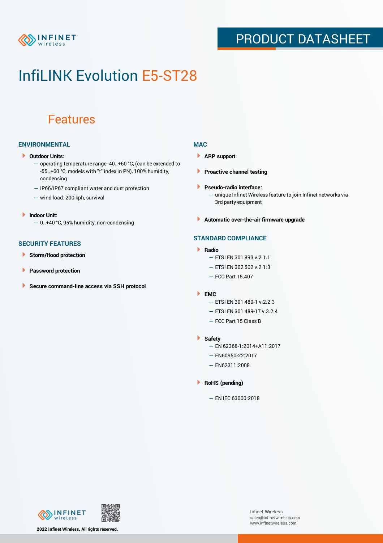

## PRODUCT DATASHEET

## InfiLINK Evolution E5-ST28

### Features

### **ENVIRONMENTAL**

- **Outdoor Units:**
	- operating temperature range -40..+60 °C, (can be extended to -55..+60 °С, models with "t" index in PN), 100% humidity, condensing
	- IP66/IP67 compliant water and dust protection
	- wind load: 200 kph, survival
- **Indoor Unit:** — 0..+40 °C, 95% humidity, non-condensing
- **SECURITY FEATURES**
- Þ **Storm/flood protection**
- ۱ **Password protection**
- × **Secure command-line access via SSH protocol**

### **MAC**

- **ARP support**
- **Proactive channel testing**
- **Pseudo-radio interface:**
	- unique Infinet Wireless feature to join Infinet networks via 3rd party equipment
- **Automatic over-the-air firmware upgrade**

### **STANDARD COMPLIANCE**

- **Radio**
	- ETSI EN 301 893 v.2.1.1
	- $-$  FTSI FN 302 502 v.2.1.3
	- FCC Part 15.407
- **EMC**
	- ETSI EN 301 489-1 v.2.2.3
	- ETSI EN 301 489-17 v.3.2.4
	- FCC Part 15 Class B
- **Safety**
	- EN 62368-1:2014+A11:2017
	- EN60950-22:2017
	- EN62311:2008
- **RoHS (pending)**
	- EN IEC 63000:2018